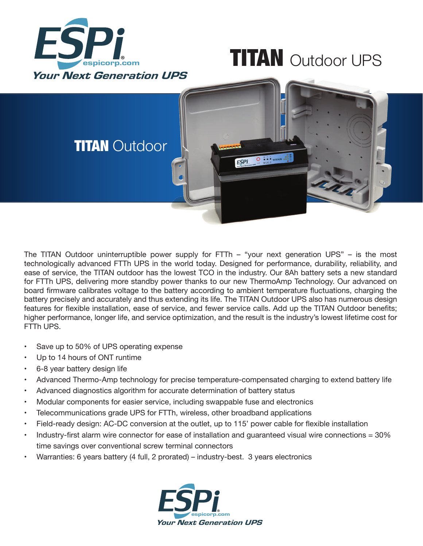

## **TITAN** Outdoor UPS



The TITAN Outdoor uninterruptible power supply for FTTh – "your next generation UPS" – is the most technologically advanced FTTh UPS in the world today. Designed for performance, durability, reliability, and ease of service, the TITAN outdoor has the lowest TCO in the industry. Our 8Ah battery sets a new standard for FTTh UPS, delivering more standby power thanks to our new ThermoAmp Technology. Our advanced on board firmware calibrates voltage to the battery according to ambient temperature fluctuations, charging the battery precisely and accurately and thus extending its life. The TITAN Outdoor UPS also has numerous design features for flexible installation, ease of service, and fewer service calls. Add up the TITAN Outdoor benefits; higher performance, longer life, and service optimization, and the result is the industry's lowest lifetime cost for FTTh UPS.

- Save up to 50% of UPS operating expense
- Up to 14 hours of ONT runtime
- 6-8 year battery design life
- Advanced Thermo-Amp technology for precise temperature-compensated charging to extend battery life
- Advanced diagnostics algorithm for accurate determination of battery status
- Modular components for easier service, including swappable fuse and electronics
- Telecommunications grade UPS for FTTh, wireless, other broadband applications
- Field-ready design: AC-DC conversion at the outlet, up to 115' power cable for flexible installation
- Industry-first alarm wire connector for ease of installation and quaranteed visual wire connections  $= 30\%$ time savings over conventional screw terminal connectors
- Warranties: 6 years battery (4 full, 2 prorated) industry-best. 3 years electronics